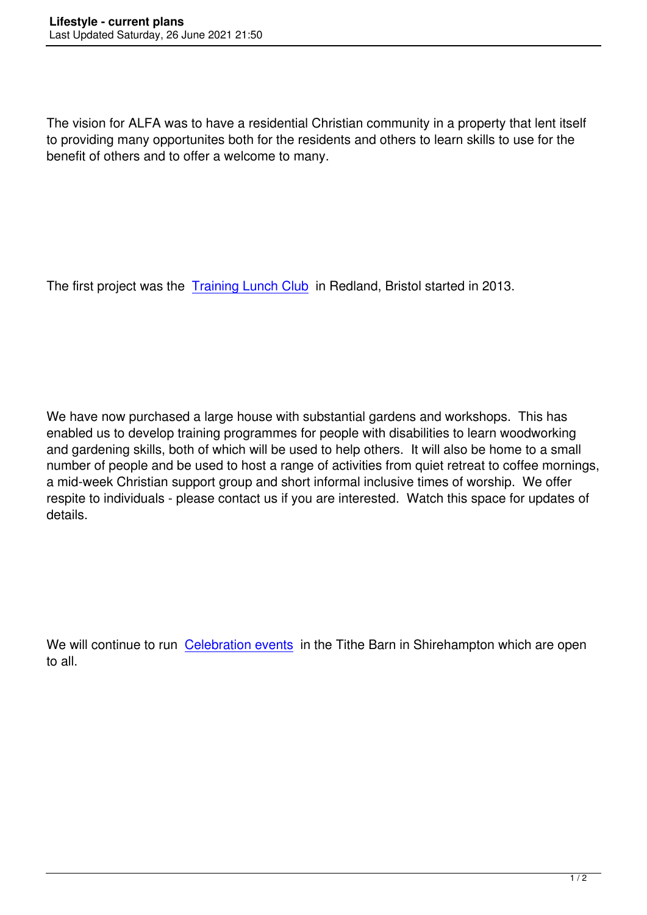The vision for ALFA was to have a residential Christian community in a property that lent itself to providing many opportunites both for the residents and others to learn skills to use for the benefit of others and to offer a welcome to many.

The first project was the Training Lunch Club in Redland, Bristol started in 2013.

We have now purchased a large house with substantial gardens and workshops. This has enabled us to develop training programmes for people with disabilities to learn woodworking and gardening skills, both of which will be used to help others. It will also be home to a small number of people and be used to host a range of activities from quiet retreat to coffee mornings, a mid-week Christian support group and short informal inclusive times of worship. We offer respite to individuals - please contact us if you are interested. Watch this space for updates of details.

We will continue to run Celebration events in the Tithe Barn in Shirehampton which are open to all.